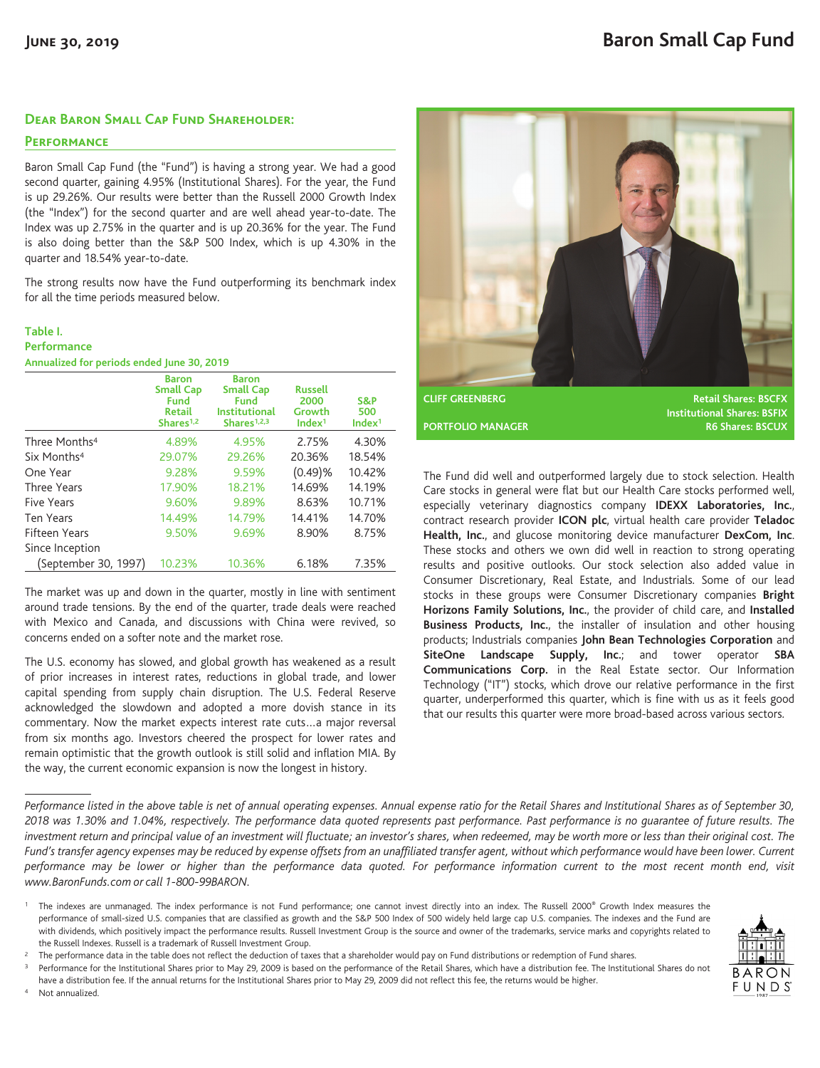## **Dear Baron Small Cap Fund Shareholder:**

## **Performance**

Baron Small Cap Fund (the "Fund") is having a strong year. We had a good second quarter, gaining 4.95% (Institutional Shares). For the year, the Fund is up 29.26%. Our results were better than the Russell 2000 Growth Index (the "Index") for the second quarter and are well ahead year-to-date. The Index was up 2.75% in the quarter and is up 20.36% for the year. The Fund is also doing better than the S&P 500 Index, which is up 4.30% in the quarter and 18.54% year-to-date.

The strong results now have the Fund outperforming its benchmark index for all the time periods measured below.

| Table I.                                   |  |  |
|--------------------------------------------|--|--|
| Performance                                |  |  |
| Annualized for periods ended June 30, 2019 |  |  |

|                           | <b>Baron</b><br><b>Small Cap</b><br><b>Fund</b><br><b>Retail</b><br>Shares <sup>1,2</sup> | <b>Baron</b><br><b>Small Cap</b><br><b>Fund</b><br><b>Institutional</b><br>Shares $1,2,3$ | <b>Russell</b><br>2000<br>Growth<br>Index <sup>1</sup> | S&P<br>500<br>Index <sup>1</sup> |
|---------------------------|-------------------------------------------------------------------------------------------|-------------------------------------------------------------------------------------------|--------------------------------------------------------|----------------------------------|
| Three Months <sup>4</sup> | 4.89%                                                                                     | 4.95%                                                                                     | 2.75%                                                  | 4.30%                            |
| Six Months <sup>4</sup>   | 29.07%                                                                                    | 29.26%                                                                                    | 20.36%                                                 | 18.54%                           |
| One Year                  | 9.28%                                                                                     | 9.59%                                                                                     | (0.49)%                                                | 10.42%                           |
| <b>Three Years</b>        | 17.90%                                                                                    | 18.21%                                                                                    | 14.69%                                                 | 14.19%                           |
| Five Years                | 9.60%                                                                                     | 9.89%                                                                                     | 8.63%                                                  | 10.71%                           |
| Ten Years                 | 14.49%                                                                                    | 14.79%                                                                                    | 14.41%                                                 | 14.70%                           |
| Fifteen Years             | 9.50%                                                                                     | 9.69%                                                                                     | 8.90%                                                  | 8.75%                            |
| Since Inception           |                                                                                           |                                                                                           |                                                        |                                  |
| (September 30, 1997)      | 10.23%                                                                                    | 10.36%                                                                                    | 6.18%                                                  | 7.35%                            |

The market was up and down in the quarter, mostly in line with sentiment around trade tensions. By the end of the quarter, trade deals were reached with Mexico and Canada, and discussions with China were revived, so concerns ended on a softer note and the market rose.

The U.S. economy has slowed, and global growth has weakened as a result of prior increases in interest rates, reductions in global trade, and lower capital spending from supply chain disruption. The U.S. Federal Reserve acknowledged the slowdown and adopted a more dovish stance in its commentary. Now the market expects interest rate cuts…a major reversal from six months ago. Investors cheered the prospect for lower rates and remain optimistic that the growth outlook is still solid and inflation MIA. By the way, the current economic expansion is now the longest in history.



**Institutional Shares: BSFIX PORTFOLIO MANAGER R6 Shares: BSCUX** 

The Fund did well and outperformed largely due to stock selection. Health Care stocks in general were flat but our Health Care stocks performed well, especially veterinary diagnostics company **IDEXX Laboratories, Inc.**, contract research provider **ICON plc**, virtual health care provider **Teladoc Health, Inc.**, and glucose monitoring device manufacturer **DexCom, Inc**. These stocks and others we own did well in reaction to strong operating results and positive outlooks. Our stock selection also added value in Consumer Discretionary, Real Estate, and Industrials. Some of our lead stocks in these groups were Consumer Discretionary companies **Bright Horizons Family Solutions, Inc.**, the provider of child care, and **Installed Business Products, Inc.**, the installer of insulation and other housing products; Industrials companies **John Bean Technologies Corporation** and **SiteOne Landscape Supply, Inc.**; and tower operator **SBA Communications Corp.** in the Real Estate sector. Our Information Technology ("IT") stocks, which drove our relative performance in the first quarter, underperformed this quarter, which is fine with us as it feels good that our results this quarter were more broad-based across various sectors.

*Performance listed in the above table is net of annual operating expenses. Annual expense ratio for the Retail Shares and Institutional Shares as of September 30, 2018 was 1.30% and 1.04%, respectively. The performance data quoted represents past performance. Past performance is no guarantee of future results. The investment return and principal value of an investment will fluctuate; an investor's shares, when redeemed, may be worth more or less than their original cost. The Fund's transfer agency expenses may be reduced by expense offsets from an unaffiliated transfer agent, without which performance would have been lower. Current performance may be lower or higher than the performance data quoted. For performance information current to the most recent month end, visit www.BaronFunds.com or call 1-800-99BARON.*

have a distribution fee. If the annual returns for the Institutional Shares prior to May 29, 2009 did not reflect this fee, the returns would be higher. Not annualized.



<sup>&</sup>lt;sup>1</sup> The indexes are unmanaged. The index performance is not Fund performance; one cannot invest directly into an index. The Russell 2000<sup>®</sup> Growth Index measures the performance of small-sized U.S. companies that are classified as growth and the S&P 500 Index of 500 widely held large cap U.S. companies. The indexes and the Fund are with dividends, which positively impact the performance results. Russell Investment Group is the source and owner of the trademarks, service marks and copyrights related to the Russell Indexes. Russell is a trademark of Russell Investment Group.

<sup>&</sup>lt;sup>2</sup> The performance data in the table does not reflect the deduction of taxes that a shareholder would pay on Fund distributions or redemption of Fund shares.

Performance for the Institutional Shares prior to May 29, 2009 is based on the performance of the Retail Shares, which have a distribution fee. The Institutional Shares do not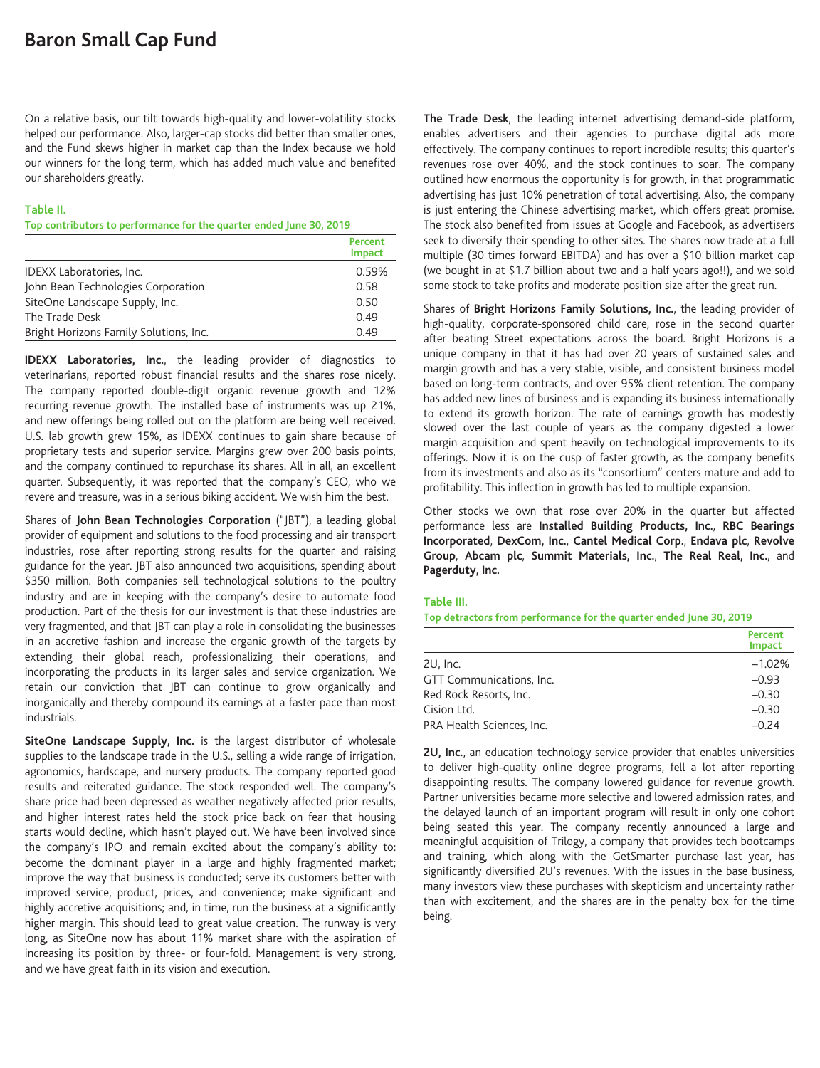On a relative basis, our tilt towards high-quality and lower-volatility stocks helped our performance. Also, larger-cap stocks did better than smaller ones, and the Fund skews higher in market cap than the Index because we hold our winners for the long term, which has added much value and benefited our shareholders greatly.

## **Table II.**

#### **Top contributors to performance for the quarter ended June 30, 2019**

|                                        | Percent<br><b>Impact</b> |
|----------------------------------------|--------------------------|
| IDEXX Laboratories, Inc.               | 0.59%                    |
| John Bean Technologies Corporation     | 0.58                     |
| SiteOne Landscape Supply, Inc.         | 0.50                     |
| The Trade Desk                         | 0.49                     |
| Bright Horizons Family Solutions, Inc. | 0.49                     |

**IDEXX Laboratories, Inc.**, the leading provider of diagnostics to veterinarians, reported robust financial results and the shares rose nicely. The company reported double-digit organic revenue growth and 12% recurring revenue growth. The installed base of instruments was up 21%, and new offerings being rolled out on the platform are being well received. U.S. lab growth grew 15%, as IDEXX continues to gain share because of proprietary tests and superior service. Margins grew over 200 basis points, and the company continued to repurchase its shares. All in all, an excellent quarter. Subsequently, it was reported that the company's CEO, who we revere and treasure, was in a serious biking accident. We wish him the best.

Shares of **John Bean Technologies Corporation** ("JBT"), a leading global provider of equipment and solutions to the food processing and air transport industries, rose after reporting strong results for the quarter and raising guidance for the year. JBT also announced two acquisitions, spending about \$350 million. Both companies sell technological solutions to the poultry industry and are in keeping with the company's desire to automate food production. Part of the thesis for our investment is that these industries are very fragmented, and that JBT can play a role in consolidating the businesses in an accretive fashion and increase the organic growth of the targets by extending their global reach, professionalizing their operations, and incorporating the products in its larger sales and service organization. We retain our conviction that JBT can continue to grow organically and inorganically and thereby compound its earnings at a faster pace than most industrials.

**SiteOne Landscape Supply, Inc.** is the largest distributor of wholesale supplies to the landscape trade in the U.S., selling a wide range of irrigation, agronomics, hardscape, and nursery products. The company reported good results and reiterated guidance. The stock responded well. The company's share price had been depressed as weather negatively affected prior results, and higher interest rates held the stock price back on fear that housing starts would decline, which hasn't played out. We have been involved since the company's IPO and remain excited about the company's ability to: become the dominant player in a large and highly fragmented market; improve the way that business is conducted; serve its customers better with improved service, product, prices, and convenience; make significant and highly accretive acquisitions; and, in time, run the business at a significantly higher margin. This should lead to great value creation. The runway is very long, as SiteOne now has about 11% market share with the aspiration of increasing its position by three- or four-fold. Management is very strong, and we have great faith in its vision and execution.

**The Trade Desk**, the leading internet advertising demand-side platform, enables advertisers and their agencies to purchase digital ads more effectively. The company continues to report incredible results; this quarter's revenues rose over 40%, and the stock continues to soar. The company outlined how enormous the opportunity is for growth, in that programmatic advertising has just 10% penetration of total advertising. Also, the company is just entering the Chinese advertising market, which offers great promise. The stock also benefited from issues at Google and Facebook, as advertisers seek to diversify their spending to other sites. The shares now trade at a full multiple (30 times forward EBITDA) and has over a \$10 billion market cap (we bought in at \$1.7 billion about two and a half years ago!!), and we sold some stock to take profits and moderate position size after the great run.

Shares of **Bright Horizons Family Solutions, Inc.**, the leading provider of high-quality, corporate-sponsored child care, rose in the second quarter after beating Street expectations across the board. Bright Horizons is a unique company in that it has had over 20 years of sustained sales and margin growth and has a very stable, visible, and consistent business model based on long-term contracts, and over 95% client retention. The company has added new lines of business and is expanding its business internationally to extend its growth horizon. The rate of earnings growth has modestly slowed over the last couple of years as the company digested a lower margin acquisition and spent heavily on technological improvements to its offerings. Now it is on the cusp of faster growth, as the company benefits from its investments and also as its "consortium" centers mature and add to profitability. This inflection in growth has led to multiple expansion.

Other stocks we own that rose over 20% in the quarter but affected performance less are **Installed Building Products, Inc.**, **RBC Bearings Incorporated**, **DexCom, Inc.**, **Cantel Medical Corp.**, **Endava plc**, **Revolve Group**, **Abcam plc**, **Summit Materials, Inc.**, **The Real Real, Inc.**, and **Pagerduty, Inc.**

#### **Table III.**

**Top detractors from performance for the quarter ended June 30, 2019**

|                           | Percent<br><b>Impact</b> |
|---------------------------|--------------------------|
| 2U, Inc.                  | $-1.02%$                 |
| GTT Communications, Inc.  | $-0.93$                  |
| Red Rock Resorts, Inc.    | $-0.30$                  |
| Cision Ltd.               | $-0.30$                  |
| PRA Health Sciences, Inc. | $-0.24$                  |

**2U, Inc.**, an education technology service provider that enables universities to deliver high-quality online degree programs, fell a lot after reporting disappointing results. The company lowered guidance for revenue growth. Partner universities became more selective and lowered admission rates, and the delayed launch of an important program will result in only one cohort being seated this year. The company recently announced a large and meaningful acquisition of Trilogy, a company that provides tech bootcamps and training, which along with the GetSmarter purchase last year, has significantly diversified 2U's revenues. With the issues in the base business, many investors view these purchases with skepticism and uncertainty rather than with excitement, and the shares are in the penalty box for the time being.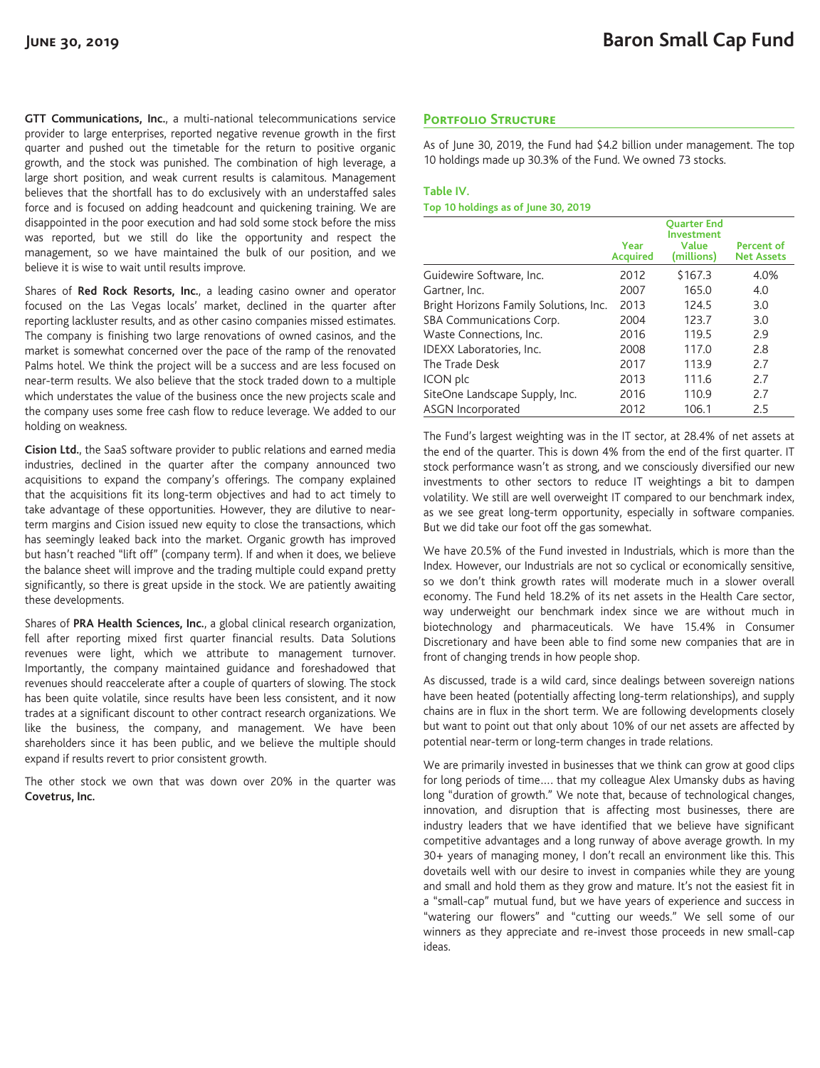**GTT Communications, Inc.**, a multi-national telecommunications service provider to large enterprises, reported negative revenue growth in the first quarter and pushed out the timetable for the return to positive organic growth, and the stock was punished. The combination of high leverage, a large short position, and weak current results is calamitous. Management believes that the shortfall has to do exclusively with an understaffed sales force and is focused on adding headcount and quickening training. We are disappointed in the poor execution and had sold some stock before the miss was reported, but we still do like the opportunity and respect the management, so we have maintained the bulk of our position, and we believe it is wise to wait until results improve.

Shares of **Red Rock Resorts, Inc.**, a leading casino owner and operator focused on the Las Vegas locals' market, declined in the quarter after reporting lackluster results, and as other casino companies missed estimates. The company is finishing two large renovations of owned casinos, and the market is somewhat concerned over the pace of the ramp of the renovated Palms hotel. We think the project will be a success and are less focused on near-term results. We also believe that the stock traded down to a multiple which understates the value of the business once the new projects scale and the company uses some free cash flow to reduce leverage. We added to our holding on weakness.

**Cision Ltd.**, the SaaS software provider to public relations and earned media industries, declined in the quarter after the company announced two acquisitions to expand the company's offerings. The company explained that the acquisitions fit its long-term objectives and had to act timely to take advantage of these opportunities. However, they are dilutive to nearterm margins and Cision issued new equity to close the transactions, which has seemingly leaked back into the market. Organic growth has improved but hasn't reached "lift off" (company term). If and when it does, we believe the balance sheet will improve and the trading multiple could expand pretty significantly, so there is great upside in the stock. We are patiently awaiting these developments.

Shares of **PRA Health Sciences, Inc.**, a global clinical research organization, fell after reporting mixed first quarter financial results. Data Solutions revenues were light, which we attribute to management turnover. Importantly, the company maintained guidance and foreshadowed that revenues should reaccelerate after a couple of quarters of slowing. The stock has been quite volatile, since results have been less consistent, and it now trades at a significant discount to other contract research organizations. We like the business, the company, and management. We have been shareholders since it has been public, and we believe the multiple should expand if results revert to prior consistent growth.

The other stock we own that was down over 20% in the quarter was **Covetrus, Inc.**

# **Portfolio Structure**

As of June 30, 2019, the Fund had \$4.2 billion under management. The top 10 holdings made up 30.3% of the Fund. We owned 73 stocks.

### **Table IV.**

#### **Top 10 holdings as of June 30, 2019**

|                                        | Year<br><b>Acquired</b> | <b>Ouarter End</b><br><b>Investment</b><br>Value<br>(millions) | Percent of<br><b>Net Assets</b> |
|----------------------------------------|-------------------------|----------------------------------------------------------------|---------------------------------|
| Guidewire Software, Inc.               | 2012                    | \$167.3                                                        | 4.0%                            |
| Gartner, Inc.                          | 2007                    | 165.0                                                          | 4.0                             |
| Bright Horizons Family Solutions, Inc. | 2013                    | 124.5                                                          | 3.0                             |
| SBA Communications Corp.               | 2004                    | 123.7                                                          | 3.0                             |
| Waste Connections, Inc.                | 2016                    | 119.5                                                          | 2.9                             |
| IDEXX Laboratories, Inc.               | 2008                    | 117.0                                                          | 2.8                             |
| The Trade Desk                         | 2017                    | 113.9                                                          | 2.7                             |
| ICON plc                               | 2013                    | 111.6                                                          | 2.7                             |
| SiteOne Landscape Supply, Inc.         | 2016                    | 110.9                                                          | 2.7                             |
| ASGN Incorporated                      | 2012                    | 106.1                                                          | 2.5                             |

The Fund's largest weighting was in the IT sector, at 28.4% of net assets at the end of the quarter. This is down 4% from the end of the first quarter. IT stock performance wasn't as strong, and we consciously diversified our new investments to other sectors to reduce IT weightings a bit to dampen volatility. We still are well overweight IT compared to our benchmark index, as we see great long-term opportunity, especially in software companies. But we did take our foot off the gas somewhat.

We have 20.5% of the Fund invested in Industrials, which is more than the Index. However, our Industrials are not so cyclical or economically sensitive, so we don't think growth rates will moderate much in a slower overall economy. The Fund held 18.2% of its net assets in the Health Care sector, way underweight our benchmark index since we are without much in biotechnology and pharmaceuticals. We have 15.4% in Consumer Discretionary and have been able to find some new companies that are in front of changing trends in how people shop.

As discussed, trade is a wild card, since dealings between sovereign nations have been heated (potentially affecting long-term relationships), and supply chains are in flux in the short term. We are following developments closely but want to point out that only about 10% of our net assets are affected by potential near-term or long-term changes in trade relations.

We are primarily invested in businesses that we think can grow at good clips for long periods of time…. that my colleague Alex Umansky dubs as having long "duration of growth." We note that, because of technological changes, innovation, and disruption that is affecting most businesses, there are industry leaders that we have identified that we believe have significant competitive advantages and a long runway of above average growth. In my 30+ years of managing money, I don't recall an environment like this. This dovetails well with our desire to invest in companies while they are young and small and hold them as they grow and mature. It's not the easiest fit in a "small-cap" mutual fund, but we have years of experience and success in "watering our flowers" and "cutting our weeds." We sell some of our winners as they appreciate and re-invest those proceeds in new small-cap ideas.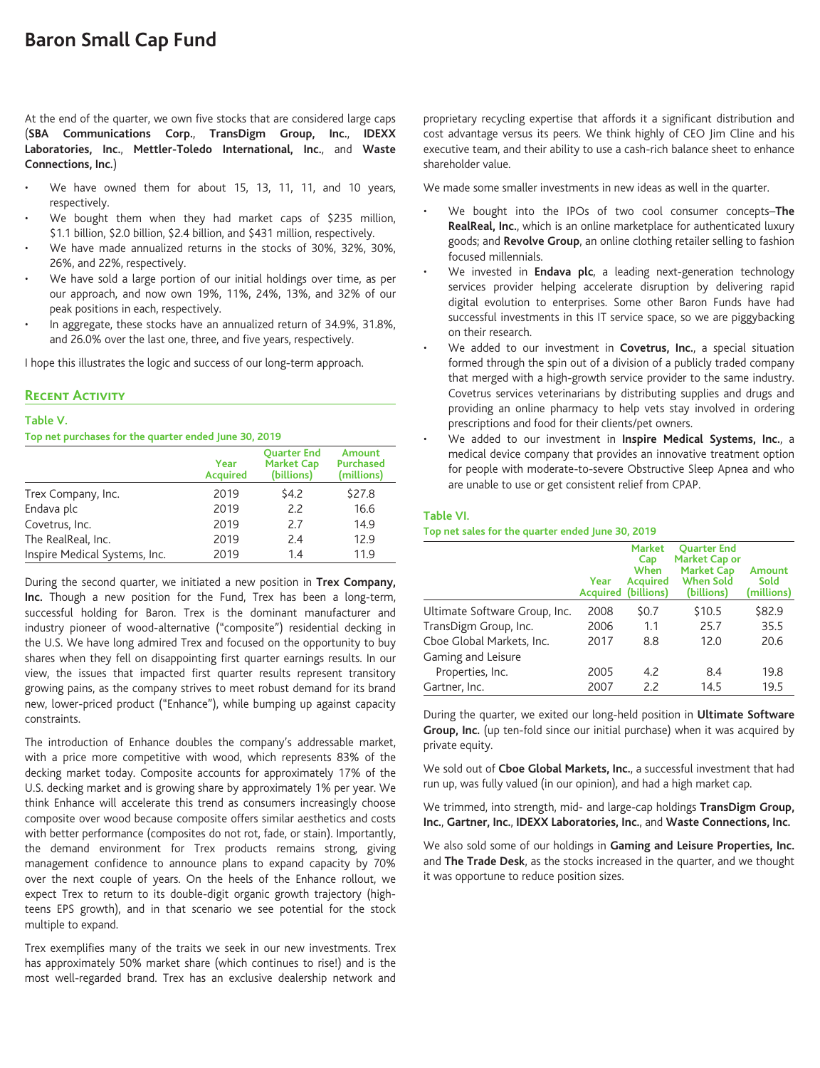At the end of the quarter, we own five stocks that are considered large caps (**SBA Communications Corp.**, **TransDigm Group, Inc.**, **IDEXX Laboratories, Inc.**, **Mettler-Toledo International, Inc.**, and **Waste Connections, Inc.**)

- We have owned them for about 15, 13, 11, 11, and 10 years, respectively.
- We bought them when they had market caps of \$235 million, \$1.1 billion, \$2.0 billion, \$2.4 billion, and \$431 million, respectively.
- We have made annualized returns in the stocks of 30%, 32%, 30%, 26%, and 22%, respectively.
- We have sold a large portion of our initial holdings over time, as per our approach, and now own 19%, 11%, 24%, 13%, and 32% of our peak positions in each, respectively.
- In aggregate, these stocks have an annualized return of 34.9%, 31.8%, and 26.0% over the last one, three, and five years, respectively.

I hope this illustrates the logic and success of our long-term approach.

# **Recent Activity**

#### **Table V.**

#### **Top net purchases for the quarter ended June 30, 2019**

|                               | Year<br><b>Acquired</b> | <b>Ouarter End</b><br><b>Market Cap</b><br>(billions) | Amount<br><b>Purchased</b><br>(millions) |
|-------------------------------|-------------------------|-------------------------------------------------------|------------------------------------------|
| Trex Company, Inc.            | 2019                    | \$4.2                                                 | \$27.8                                   |
| Endava plc                    | 2019                    | 2.2                                                   | 16.6                                     |
| Covetrus, Inc.                | 2019                    | 2.7                                                   | 14.9                                     |
| The RealReal, Inc.            | 2019                    | 2.4                                                   | 12.9                                     |
| Inspire Medical Systems, Inc. | 2019                    | 1.4                                                   | 11.9                                     |

During the second quarter, we initiated a new position in **Trex Company, Inc.** Though a new position for the Fund, Trex has been a long-term, successful holding for Baron. Trex is the dominant manufacturer and industry pioneer of wood-alternative ("composite") residential decking in the U.S. We have long admired Trex and focused on the opportunity to buy shares when they fell on disappointing first quarter earnings results. In our view, the issues that impacted first quarter results represent transitory growing pains, as the company strives to meet robust demand for its brand new, lower-priced product ("Enhance"), while bumping up against capacity constraints.

The introduction of Enhance doubles the company's addressable market, with a price more competitive with wood, which represents 83% of the decking market today. Composite accounts for approximately 17% of the U.S. decking market and is growing share by approximately 1% per year. We think Enhance will accelerate this trend as consumers increasingly choose composite over wood because composite offers similar aesthetics and costs with better performance (composites do not rot, fade, or stain). Importantly, the demand environment for Trex products remains strong, giving management confidence to announce plans to expand capacity by 70% over the next couple of years. On the heels of the Enhance rollout, we expect Trex to return to its double-digit organic growth trajectory (highteens EPS growth), and in that scenario we see potential for the stock multiple to expand.

Trex exemplifies many of the traits we seek in our new investments. Trex has approximately 50% market share (which continues to rise!) and is the most well-regarded brand. Trex has an exclusive dealership network and proprietary recycling expertise that affords it a significant distribution and cost advantage versus its peers. We think highly of CEO Jim Cline and his executive team, and their ability to use a cash-rich balance sheet to enhance shareholder value.

We made some smaller investments in new ideas as well in the quarter.

- We bought into the IPOs of two cool consumer concepts–**The RealReal, Inc.**, which is an online marketplace for authenticated luxury goods; and **Revolve Group**, an online clothing retailer selling to fashion focused millennials.
- We invested in **Endava plc**, a leading next-generation technology services provider helping accelerate disruption by delivering rapid digital evolution to enterprises. Some other Baron Funds have had successful investments in this IT service space, so we are piggybacking on their research.
- We added to our investment in **Covetrus, Inc.**, a special situation formed through the spin out of a division of a publicly traded company that merged with a high-growth service provider to the same industry. Covetrus services veterinarians by distributing supplies and drugs and providing an online pharmacy to help vets stay involved in ordering prescriptions and food for their clients/pet owners.
- We added to our investment in **Inspire Medical Systems, Inc.**, a medical device company that provides an innovative treatment option for people with moderate-to-severe Obstructive Sleep Apnea and who are unable to use or get consistent relief from CPAP.

#### **Table VI.**

#### **Top net sales for the quarter ended June 30, 2019**

|                               | Year<br><b>Acquired</b> | <b>Market</b><br>Cap<br>When<br><b>Acquired</b><br>(billions) | <b>Ouarter End</b><br>Market Cap or<br><b>Market Cap</b><br><b>When Sold</b><br>(billions) | Amount<br>Sold<br>(millions) |
|-------------------------------|-------------------------|---------------------------------------------------------------|--------------------------------------------------------------------------------------------|------------------------------|
| Ultimate Software Group, Inc. | 2008                    | \$0.7                                                         | \$10.5                                                                                     | \$82.9                       |
| TransDigm Group, Inc.         | 2006                    | 1.1                                                           | 25.7                                                                                       | 35.5                         |
| Cboe Global Markets, Inc.     | 2017                    | 8.8                                                           | 12.0                                                                                       | 20.6                         |
| Gaming and Leisure            |                         |                                                               |                                                                                            |                              |
| Properties, Inc.              | 2005                    | 4.2                                                           | 8.4                                                                                        | 19.8                         |
| Gartner, Inc.                 | 2007                    | 2.2                                                           | 14.5                                                                                       | 19.5                         |

During the quarter, we exited our long-held position in **Ultimate Software Group, Inc.** (up ten-fold since our initial purchase) when it was acquired by private equity.

We sold out of **Cboe Global Markets, Inc.**, a successful investment that had run up, was fully valued (in our opinion), and had a high market cap.

We trimmed, into strength, mid- and large-cap holdings **TransDigm Group, Inc.**, **Gartner, Inc.**, **IDEXX Laboratories, Inc.**, and **Waste Connections, Inc.**

We also sold some of our holdings in **Gaming and Leisure Properties, Inc.** and **The Trade Desk**, as the stocks increased in the quarter, and we thought it was opportune to reduce position sizes.